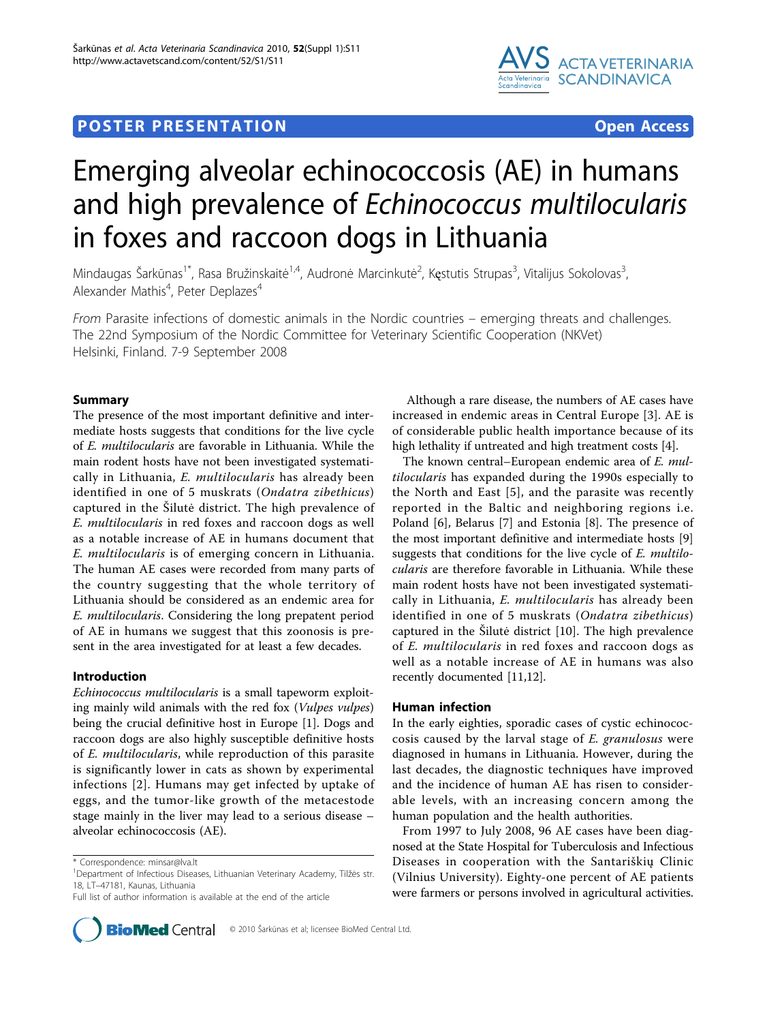# **POSTER PRESENTATION CONSUMING THE SERVICE SERVICE SERVICES**



# Emerging alveolar echinococcosis (AE) in humans and high prevalence of Echinococcus multilocularis in foxes and raccoon dogs in Lithuania

Mindaugas Šarkūnas<sup>1\*</sup>, Rasa Bružinskaitė<sup>1,4</sup>, Audronė Marcinkutė<sup>2</sup>, Kęstutis Strupas<sup>3</sup>, Vitalijus Sokolovas<sup>3</sup> , Alexander Mathis<sup>4</sup>, Peter Deplazes<sup>4</sup>

From Parasite infections of domestic animals in the Nordic countries – emerging threats and challenges. The 22nd Symposium of the Nordic Committee for Veterinary Scientific Cooperation (NKVet) Helsinki, Finland. 7-9 September 2008

# Summary

The presence of the most important definitive and intermediate hosts suggests that conditions for the live cycle of E. multilocularis are favorable in Lithuania. While the main rodent hosts have not been investigated systematically in Lithuania, E. multilocularis has already been identified in one of 5 muskrats (Ondatra zibethicus) captured in the Šilutė district. The high prevalence of E. multilocularis in red foxes and raccoon dogs as well as a notable increase of AE in humans document that E. multilocularis is of emerging concern in Lithuania. The human AE cases were recorded from many parts of the country suggesting that the whole territory of Lithuania should be considered as an endemic area for E. multilocularis. Considering the long prepatent period of AE in humans we suggest that this zoonosis is present in the area investigated for at least a few decades.

## Introduction

Echinococcus multilocularis is a small tapeworm exploiting mainly wild animals with the red fox (Vulpes vulpes) being the crucial definitive host in Europe [[1\]](#page-1-0). Dogs and raccoon dogs are also highly susceptible definitive hosts of E. multilocularis, while reproduction of this parasite is significantly lower in cats as shown by experimental infections [[2](#page-1-0)]. Humans may get infected by uptake of eggs, and the tumor-like growth of the metacestode stage mainly in the liver may lead to a serious disease – alveolar echinococcosis (AE).

Full list of author information is available at the end of the article



Although a rare disease, the numbers of AE cases have increased in endemic areas in Central Europe [[3\]](#page-1-0). AE is of considerable public health importance because of its high lethality if untreated and high treatment costs [[4\]](#page-1-0).

The known central–European endemic area of E. multilocularis has expanded during the 1990s especially to the North and East [[5](#page-1-0)], and the parasite was recently reported in the Baltic and neighboring regions i.e. Poland [[6\]](#page-2-0), Belarus [[7](#page-2-0)] and Estonia [[8\]](#page-2-0). The presence of the most important definitive and intermediate hosts [[9](#page-2-0)] suggests that conditions for the live cycle of E. multilocularis are therefore favorable in Lithuania. While these main rodent hosts have not been investigated systematically in Lithuania, E. multilocularis has already been identified in one of 5 muskrats (Ondatra zibethicus) captured in the Šilutė district [[10\]](#page-2-0). The high prevalence of E. multilocularis in red foxes and raccoon dogs as well as a notable increase of AE in humans was also recently documented [\[11,12\]](#page-2-0).

# Human infection

In the early eighties, sporadic cases of cystic echinococcosis caused by the larval stage of E. granulosus were diagnosed in humans in Lithuania. However, during the last decades, the diagnostic techniques have improved and the incidence of human AE has risen to considerable levels, with an increasing concern among the human population and the health authorities.

From 1997 to July 2008, 96 AE cases have been diagnosed at the State Hospital for Tuberculosis and Infectious Diseases in cooperation with the Santariškių Clinic (Vilnius University). Eighty-one percent of AE patients were farmers or persons involved in agricultural activities.

<sup>\*</sup> Correspondence: [minsar@lva.lt](mailto:minsar@lva.lt)

<sup>&</sup>lt;sup>1</sup>Department of Infectious Diseases, Lithuanian Veterinary Academy, Tilžės str. 18, LT–47181, Kaunas, Lithuania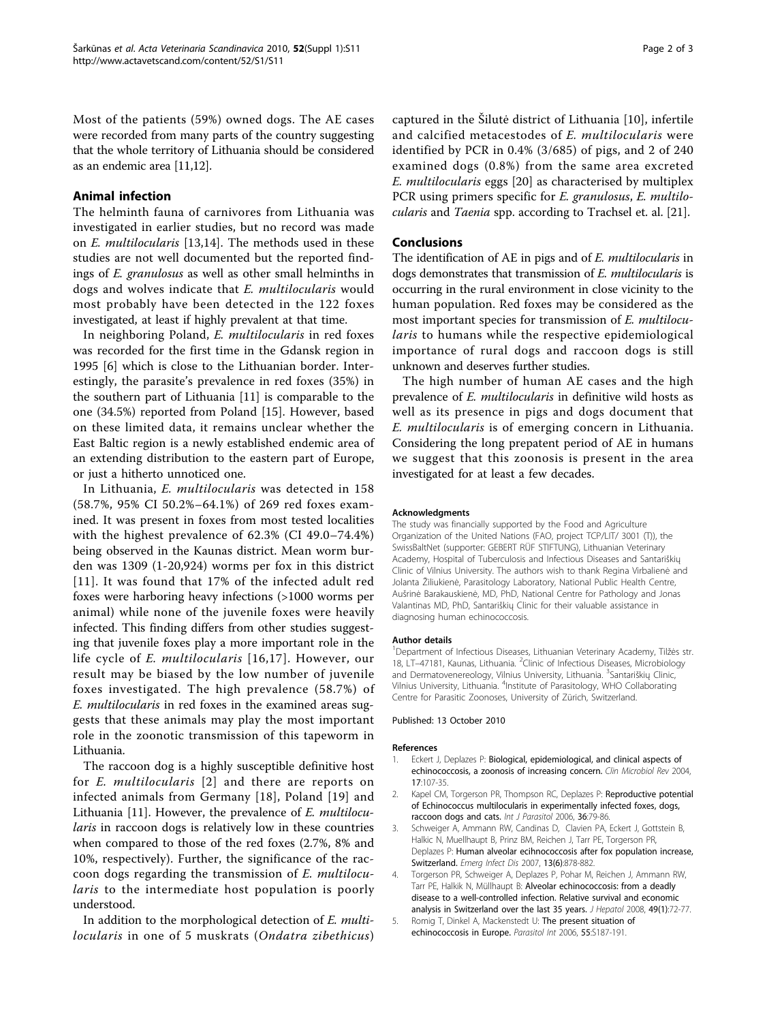<span id="page-1-0"></span>Most of the patients (59%) owned dogs. The AE cases were recorded from many parts of the country suggesting that the whole territory of Lithuania should be considered as an endemic area [\[11,12](#page-2-0)].

# Animal infection

The helminth fauna of carnivores from Lithuania was investigated in earlier studies, but no record was made on E. multilocularis [[13,14\]](#page-2-0). The methods used in these studies are not well documented but the reported findings of E. granulosus as well as other small helminths in dogs and wolves indicate that E. multilocularis would most probably have been detected in the 122 foxes investigated, at least if highly prevalent at that time.

In neighboring Poland, E. multilocularis in red foxes was recorded for the first time in the Gdansk region in 1995 [\[6](#page-2-0)] which is close to the Lithuanian border. Interestingly, the parasite's prevalence in red foxes (35%) in the southern part of Lithuania [\[11\]](#page-2-0) is comparable to the one (34.5%) reported from Poland [\[15](#page-2-0)]. However, based on these limited data, it remains unclear whether the East Baltic region is a newly established endemic area of an extending distribution to the eastern part of Europe, or just a hitherto unnoticed one.

In Lithuania, E. multilocularis was detected in 158 (58.7%, 95% CI 50.2%–64.1%) of 269 red foxes examined. It was present in foxes from most tested localities with the highest prevalence of 62.3% (CI 49.0–74.4%) being observed in the Kaunas district. Mean worm burden was 1309 (1-20,924) worms per fox in this district [[11\]](#page-2-0). It was found that 17% of the infected adult red foxes were harboring heavy infections (>1000 worms per animal) while none of the juvenile foxes were heavily infected. This finding differs from other studies suggesting that juvenile foxes play a more important role in the life cycle of E. multilocularis [[16](#page-2-0),[17\]](#page-2-0). However, our result may be biased by the low number of juvenile foxes investigated. The high prevalence (58.7%) of E. multilocularis in red foxes in the examined areas suggests that these animals may play the most important role in the zoonotic transmission of this tapeworm in Lithuania.

The raccoon dog is a highly susceptible definitive host for E. multilocularis [2] and there are reports on infected animals from Germany [[18\]](#page-2-0), Poland [[19](#page-2-0)] and Lithuania [[11\]](#page-2-0). However, the prevalence of *E. multilocu*laris in raccoon dogs is relatively low in these countries when compared to those of the red foxes (2.7%, 8% and 10%, respectively). Further, the significance of the raccoon dogs regarding the transmission of E. multilocularis to the intermediate host population is poorly understood.

In addition to the morphological detection of E. multilocularis in one of 5 muskrats (Ondatra zibethicus)

captured in the Šilutė district of Lithuania [[10\]](#page-2-0), infertile and calcified metacestodes of E. multilocularis were identified by PCR in 0.4% (3/685) of pigs, and 2 of 240 examined dogs (0.8%) from the same area excreted E. multilocularis eggs [[20\]](#page-2-0) as characterised by multiplex PCR using primers specific for E. granulosus, E. multilocularis and Taenia spp. according to Trachsel et. al. [\[21\]](#page-2-0).

# Conclusions

The identification of AE in pigs and of E. multilocularis in dogs demonstrates that transmission of E. multilocularis is occurring in the rural environment in close vicinity to the human population. Red foxes may be considered as the most important species for transmission of E. multilocularis to humans while the respective epidemiological importance of rural dogs and raccoon dogs is still unknown and deserves further studies.

The high number of human AE cases and the high prevalence of *E. multilocularis* in definitive wild hosts as well as its presence in pigs and dogs document that E. multilocularis is of emerging concern in Lithuania. Considering the long prepatent period of AE in humans we suggest that this zoonosis is present in the area investigated for at least a few decades.

#### Acknowledgments

The study was financially supported by the Food and Agriculture Organization of the United Nations (FAO, project TCP/LIT/ 3001 (T)), the SwissBaltNet (supporter: GEBERT RÜF STIFTUNG), Lithuanian Veterinary Academy, Hospital of Tuberculosis and Infectious Diseases and Santariškių Clinic of Vilnius University. The authors wish to thank Regina Virbalienė and Jolanta Žiliukienė, Parasitology Laboratory, National Public Health Centre, Aušrinė Barakauskienė, MD, PhD, National Centre for Pathology and Jonas Valantinas MD, PhD, Santariškių Clinic for their valuable assistance in diagnosing human echinococcosis.

#### Author details

<sup>1</sup>Department of Infectious Diseases, Lithuanian Veterinary Academy, Tilžės str. 18, LT-47181, Kaunas, Lithuania. <sup>2</sup>Clinic of Infectious Diseases, Microbiology and Dermatovenereology, Vilnius University, Lithuania. <sup>3</sup>Santariškių Clinic Vilnius University, Lithuania. <sup>4</sup>Institute of Parasitology, WHO Collaborating Centre for Parasitic Zoonoses, University of Zürich, Switzerland.

#### Published: 13 October 2010

#### References

- Eckert J, Deplazes P: [Biological, epidemiological, and clinical aspects of](http://www.ncbi.nlm.nih.gov/pubmed/14726458?dopt=Abstract) [echinococcosis, a zoonosis of increasing concern.](http://www.ncbi.nlm.nih.gov/pubmed/14726458?dopt=Abstract) Clin Microbiol Rev 2004, 17:107-35.
- 2. Kapel CM, Torgerson PR, Thompson RC, Deplazes P: [Reproductive potential](http://www.ncbi.nlm.nih.gov/pubmed/16199043?dopt=Abstract) [of Echinococcus multilocularis in experimentally infected foxes, dogs,](http://www.ncbi.nlm.nih.gov/pubmed/16199043?dopt=Abstract) [raccoon dogs and cats.](http://www.ncbi.nlm.nih.gov/pubmed/16199043?dopt=Abstract) Int J Parasitol 2006, 36:79-86.
- 3. Schweiger A, Ammann RW, Candinas D, Clavien PA, Eckert J, Gottstein B, Halkic N, Muellhaupt B, Prinz BM, Reichen J, Tarr PE, Torgerson PR, Deplazes P: [Human alveolar ecihnococcosis after fox population increase,](http://www.ncbi.nlm.nih.gov/pubmed/17553227?dopt=Abstract) [Switzerland.](http://www.ncbi.nlm.nih.gov/pubmed/17553227?dopt=Abstract) Emerg Infect Dis 2007, 13(6):878-882.
- 4. Torgerson PR, Schweiger A, Deplazes P, Pohar M, Reichen J, Ammann RW, Tarr PE, Halkik N, Müllhaupt B: [Alveolar echinococcosis: from a deadly](http://www.ncbi.nlm.nih.gov/pubmed/18485517?dopt=Abstract) [disease to a well-controlled infection. Relative survival and economic](http://www.ncbi.nlm.nih.gov/pubmed/18485517?dopt=Abstract) [analysis in Switzerland over the last 35 years.](http://www.ncbi.nlm.nih.gov/pubmed/18485517?dopt=Abstract) J Hepatol 2008, 49(1):72-77.
- 5. Romig T, Dinkel A, Mackenstedt U: [The present situation of](http://www.ncbi.nlm.nih.gov/pubmed/16352465?dopt=Abstract) [echinococcosis in Europe.](http://www.ncbi.nlm.nih.gov/pubmed/16352465?dopt=Abstract) Parasitol Int 2006, 55:S187-191.